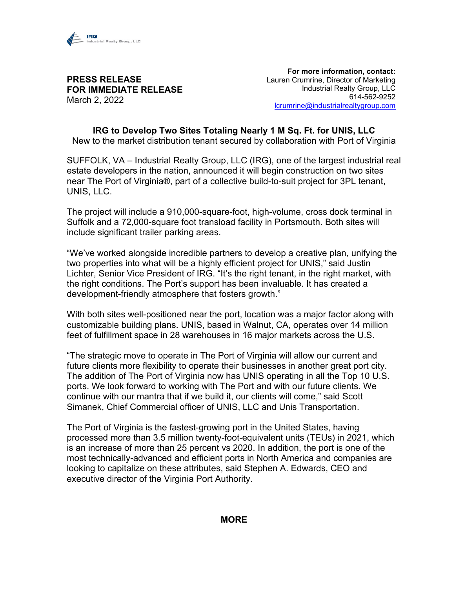

## **PRESS RELEASE FOR IMMEDIATE RELEASE** March 2, 2022

**For more information, contact:** Lauren Crumrine, Director of Marketing Industrial Realty Group, LLC 614-562-9252 [lcrumrine@industrialrealtygroup.com](mailto:lcrumrine@industrialrealtygroup.com)

**IRG to Develop Two Sites Totaling Nearly 1 M Sq. Ft. for UNIS, LLC** New to the market distribution tenant secured by collaboration with Port of Virginia

SUFFOLK, VA – Industrial Realty Group, LLC (IRG), one of the largest industrial real estate developers in the nation, announced it will begin construction on two sites near The Port of Virginia®, part of a collective build-to-suit project for 3PL tenant, UNIS, LLC.

The project will include a 910,000-square-foot, high-volume, cross dock terminal in Suffolk and a 72,000-square foot transload facility in Portsmouth. Both sites will include significant trailer parking areas.

"We've worked alongside incredible partners to develop a creative plan, unifying the two properties into what will be a highly efficient project for UNIS," said Justin Lichter, Senior Vice President of IRG. "It's the right tenant, in the right market, with the right conditions. The Port's support has been invaluable. It has created a development-friendly atmosphere that fosters growth."

With both sites well-positioned near the port, location was a major factor along with customizable building plans. UNIS, based in Walnut, CA, operates over 14 million feet of fulfillment space in 28 warehouses in 16 major markets across the U.S.

"The strategic move to operate in The Port of Virginia will allow our current and future clients more flexibility to operate their businesses in another great port city. The addition of The Port of Virginia now has UNIS operating in all the Top 10 U.S. ports. We look forward to working with The Port and with our future clients. We continue with our mantra that if we build it, our clients will come," said Scott Simanek, Chief Commercial officer of UNIS, LLC and Unis Transportation.

The Port of Virginia is the fastest-growing port in the United States, having processed more than 3.5 million twenty-foot-equivalent units (TEUs) in 2021, which is an increase of more than 25 percent vs 2020. In addition, the port is one of the most technically-advanced and efficient ports in North America and companies are looking to capitalize on these attributes, said Stephen A. Edwards, CEO and executive director of the Virginia Port Authority.

## **MORE**